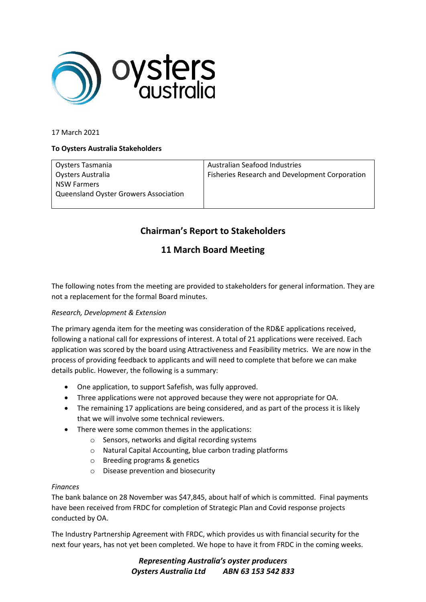

## 17 March 2021

## **To Oysters Australia Stakeholders**

Oysters Tasmania Oysters Australia NSW Farmers Queensland Oyster Growers Association

Australian Seafood Industries Fisheries Research and Development Corporation

# **Chairman's Report to Stakeholders**

## **11 March Board Meeting**

The following notes from the meeting are provided to stakeholders for general information. They are not a replacement for the formal Board minutes.

## *Research, Development & Extension*

The primary agenda item for the meeting was consideration of the RD&E applications received, following a national call for expressions of interest. A total of 21 applications were received. Each application was scored by the board using Attractiveness and Feasibility metrics. We are now in the process of providing feedback to applicants and will need to complete that before we can make details public. However, the following is a summary:

- One application, to support Safefish, was fully approved.
- Three applications were not approved because they were not appropriate for OA.
- The remaining 17 applications are being considered, and as part of the process it is likely that we will involve some technical reviewers.
- There were some common themes in the applications:
	- o Sensors, networks and digital recording systems
	- o Natural Capital Accounting, blue carbon trading platforms
	- o Breeding programs & genetics
	- o Disease prevention and biosecurity

#### *Finances*

The bank balance on 28 November was \$47,845, about half of which is committed. Final payments have been received from FRDC for completion of Strategic Plan and Covid response projects conducted by OA.

The Industry Partnership Agreement with FRDC, which provides us with financial security for the next four years, has not yet been completed. We hope to have it from FRDC in the coming weeks.

> *Representing Australia's oyster producers Oysters Australia Ltd ABN 63 153 542 833*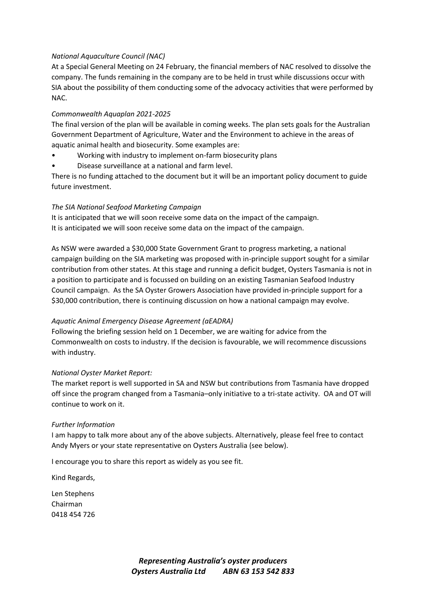## *National Aquaculture Council (NAC)*

At a Special General Meeting on 24 February, the financial members of NAC resolved to dissolve the company. The funds remaining in the company are to be held in trust while discussions occur with SIA about the possibility of them conducting some of the advocacy activities that were performed by NAC.

## *Commonwealth Aquaplan 2021-2025*

The final version of the plan will be available in coming weeks. The plan sets goals for the Australian Government Department of Agriculture, Water and the Environment to achieve in the areas of aquatic animal health and biosecurity. Some examples are:

- Working with industry to implement on-farm biosecurity plans
- Disease surveillance at a national and farm level.

There is no funding attached to the document but it will be an important policy document to guide future investment.

## *The SIA National Seafood Marketing Campaign*

It is anticipated that we will soon receive some data on the impact of the campaign. It is anticipated we will soon receive some data on the impact of the campaign.

As NSW were awarded a \$30,000 State Government Grant to progress marketing, a national campaign building on the SIA marketing was proposed with in-principle support sought for a similar contribution from other states. At this stage and running a deficit budget, Oysters Tasmania is not in a position to participate and is focussed on building on an existing Tasmanian Seafood Industry Council campaign. As the SA Oyster Growers Association have provided in-principle support for a \$30,000 contribution, there is continuing discussion on how a national campaign may evolve.

#### *Aquatic Animal Emergency Disease Agreement (aEADRA)*

Following the briefing session held on 1 December, we are waiting for advice from the Commonwealth on costs to industry. If the decision is favourable, we will recommence discussions with industry.

#### *National Oyster Market Report:*

The market report is well supported in SA and NSW but contributions from Tasmania have dropped off since the program changed from a Tasmania–only initiative to a tri-state activity. OA and OT will continue to work on it.

#### *Further Information*

I am happy to talk more about any of the above subjects. Alternatively, please feel free to contact Andy Myers or your state representative on Oysters Australia (see below).

I encourage you to share this report as widely as you see fit.

Kind Regards,

Len Stephens Chairman 0418 454 726